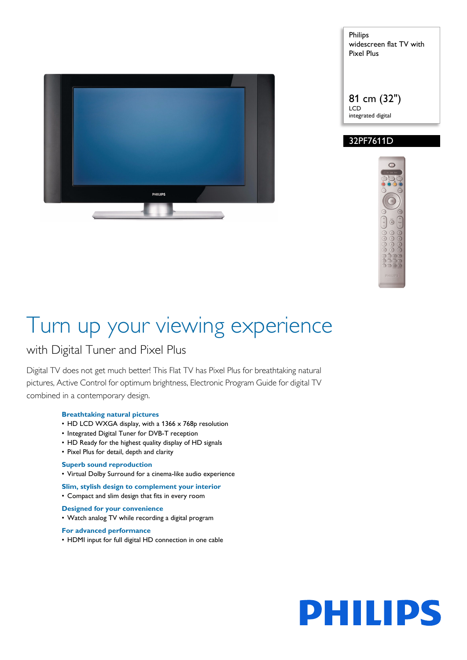

Philips widescreen flat TV with Pixel Plus

81 cm (32") LCD integrated digital

# 32PF7611D



# Turn up your viewing experience

# with Digital Tuner and Pixel Plus

Digital TV does not get much better! This Flat TV has Pixel Plus for breathtaking natural pictures, Active Control for optimum brightness, Electronic Program Guide for digital TV combined in a contemporary design.

### **Breathtaking natural pictures**

- HD LCD WXGA display, with a 1366 x 768p resolution
- Integrated Digital Tuner for DVB-T reception
- HD Ready for the highest quality display of HD signals
- Pixel Plus for detail, depth and clarity

### **Superb sound reproduction**

• Virtual Dolby Surround for a cinema-like audio experience

**Slim, stylish design to complement your interior**

- Compact and slim design that fits in every room
- **Designed for your convenience**
- Watch analog TV while recording a digital program

#### **For advanced performance**

• HDMI input for full digital HD connection in one cable

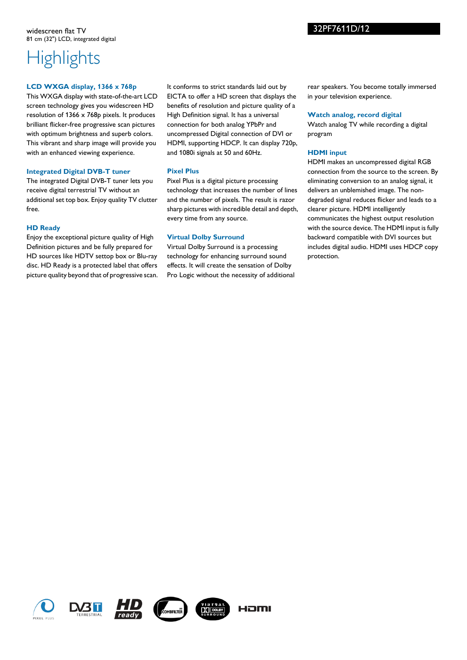# **Highlights**

#### **LCD WXGA display, 1366 x 768p**

This WXGA display with state-of-the-art LCD screen technology gives you widescreen HD resolution of 1366 x 768p pixels. It produces brilliant flicker-free progressive scan pictures with optimum brightness and superb colors. This vibrant and sharp image will provide you with an enhanced viewing experience.

#### **Integrated Digital DVB-T tuner**

The integrated Digital DVB-T tuner lets you receive digital terrestrial TV without an additional set top box. Enjoy quality TV clutter free.

#### **HD Ready**

Enjoy the exceptional picture quality of High Definition pictures and be fully prepared for HD sources like HDTV settop box or Blu-ray disc. HD Ready is a protected label that offers picture quality beyond that of progressive scan.

It conforms to strict standards laid out by EICTA to offer a HD screen that displays the benefits of resolution and picture quality of a High Definition signal. It has a universal connection for both analog YPbPr and uncompressed Digital connection of DVI or HDMI, supporting HDCP. It can display 720p, and 1080i signals at 50 and 60Hz.

#### **Pixel Plus**

Pixel Plus is a digital picture processing technology that increases the number of lines and the number of pixels. The result is razor sharp pictures with incredible detail and depth, every time from any source.

### **Virtual Dolby Surround**

Virtual Dolby Surround is a processing technology for enhancing surround sound effects. It will create the sensation of Dolby Pro Logic without the necessity of additional rear speakers. You become totally immersed in your television experience.

#### **Watch analog, record digital**

Watch analog TV while recording a digital program

#### **HDMI input**

HDMI makes an uncompressed digital RGB connection from the source to the screen. By eliminating conversion to an analog signal, it delivers an unblemished image. The nondegraded signal reduces flicker and leads to a clearer picture. HDMI intelligently communicates the highest output resolution with the source device. The HDMI input is fully backward compatible with DVI sources but includes digital audio. HDMI uses HDCP copy protection.











HOMI